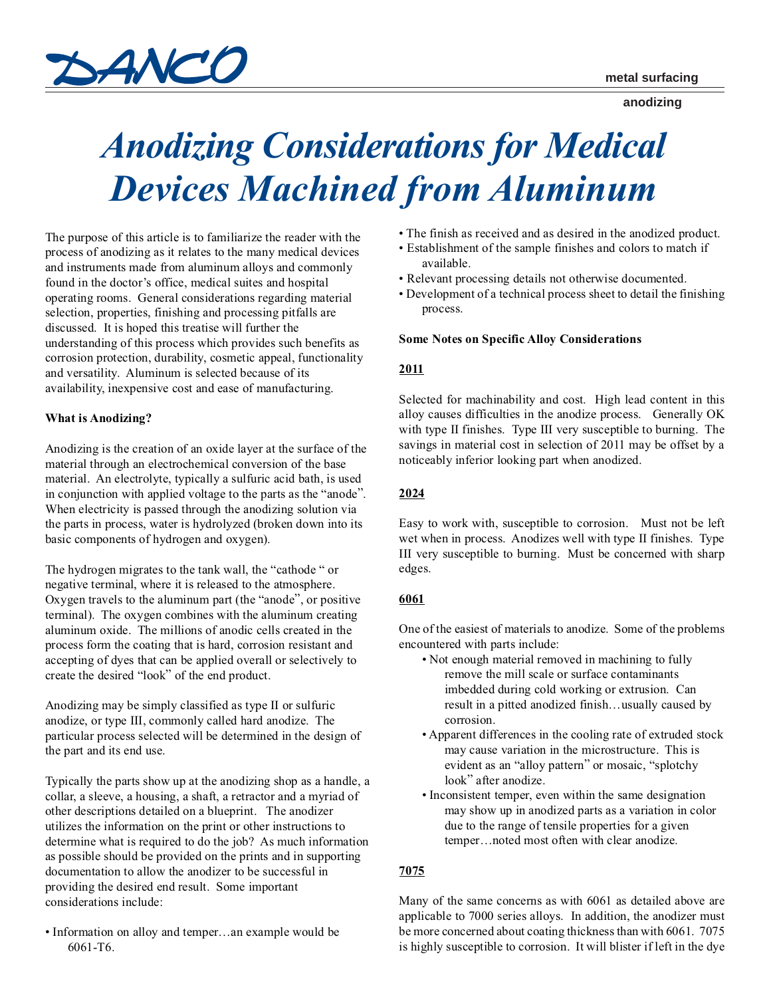

**anodizing**

# *Anodizing Considerations for Medical Devices Machined from Aluminum*

The purpose of this article is to familiarize the reader with the process of anodizing as it relates to the many medical devices and instruments made from aluminum alloys and commonly found in the doctor's office, medical suites and hospital operating rooms. General considerations regarding material selection, properties, finishing and processing pitfalls are discussed. It is hoped this treatise will further the understanding of this process which provides such benefits as corrosion protection, durability, cosmetic appeal, functionality and versatility. Aluminum is selected because of its availability, inexpensive cost and ease of manufacturing.

## **What is Anodizing?**

Anodizing is the creation of an oxide layer at the surface of the material through an electrochemical conversion of the base material. An electrolyte, typically a sulfuric acid bath, is used in conjunction with applied voltage to the parts as the "anode". When electricity is passed through the anodizing solution via the parts in process, water is hydrolyzed (broken down into its basic components of hydrogen and oxygen).

The hydrogen migrates to the tank wall, the "cathode " or negative terminal, where it is released to the atmosphere. Oxygen travels to the aluminum part (the "anode", or positive terminal). The oxygen combines with the aluminum creating aluminum oxide. The millions of anodic cells created in the process form the coating that is hard, corrosion resistant and accepting of dyes that can be applied overall or selectively to create the desired "look" of the end product.

Anodizing may be simply classified as type II or sulfuric anodize, or type III, commonly called hard anodize. The particular process selected will be determined in the design of the part and its end use.

Typically the parts show up at the anodizing shop as a handle, a collar, a sleeve, a housing, a shaft, a retractor and a myriad of other descriptions detailed on a blueprint. The anodizer utilizes the information on the print or other instructions to determine what is required to do the job? As much information as possible should be provided on the prints and in supporting documentation to allow the anodizer to be successful in providing the desired end result. Some important considerations include:

• Information on alloy and temper…an example would be 6061-T6.

- The finish as received and as desired in the anodized product.
- Establishment of the sample finishes and colors to match if available.
- Relevant processing details not otherwise documented.
- Development of a technical process sheet to detail the finishing process.

## **Some Notes on Specific Alloy Considerations**

## **2011**

Selected for machinability and cost. High lead content in this alloy causes difficulties in the anodize process. Generally OK with type II finishes. Type III very susceptible to burning. The savings in material cost in selection of 2011 may be offset by a noticeably inferior looking part when anodized.

#### **2024**

Easy to work with, susceptible to corrosion. Must not be left wet when in process. Anodizes well with type II finishes. Type III very susceptible to burning. Must be concerned with sharp edges.

## **6061**

One of the easiest of materials to anodize. Some of the problems encountered with parts include:

- Not enough material removed in machining to fully remove the mill scale or surface contaminants imbedded during cold working or extrusion. Can result in a pitted anodized finish…usually caused by corrosion.
- Apparent differences in the cooling rate of extruded stock may cause variation in the microstructure. This is evident as an "alloy pattern" or mosaic, "splotchy look" after anodize.
- Inconsistent temper, even within the same designation may show up in anodized parts as a variation in color due to the range of tensile properties for a given temper…noted most often with clear anodize.

## **7075**

Many of the same concerns as with 6061 as detailed above are applicable to 7000 series alloys. In addition, the anodizer must be more concerned about coating thickness than with 6061. 7075 is highly susceptible to corrosion. It will blister if left in the dye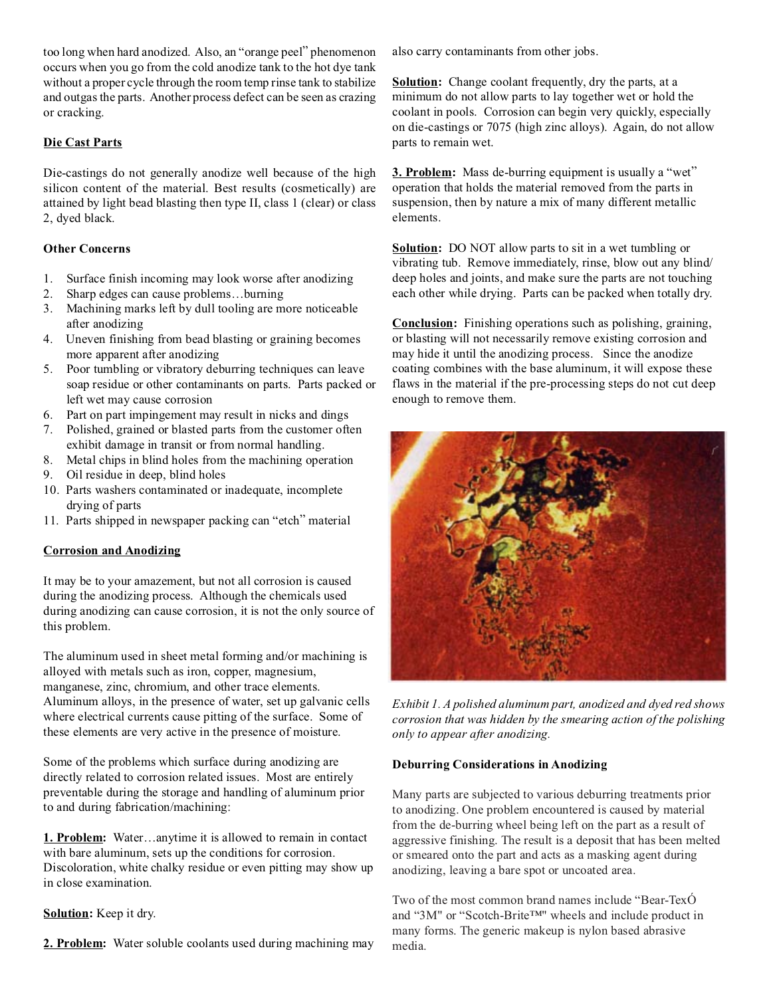too long when hard anodized. Also, an "orange peel" phenomenon occurs when you go from the cold anodize tank to the hot dye tank without a proper cycle through the room temp rinse tank to stabilize and outgas the parts. Another process defect can be seen as crazing or cracking.

# **Die Cast Parts**

Die-castings do not generally anodize well because of the high silicon content of the material. Best results (cosmetically) are attained by light bead blasting then type II, class 1 (clear) or class 2, dyed black.

# **Other Concerns**

- 1. Surface finish incoming may look worse after anodizing
- 2. Sharp edges can cause problems…burning
- 3. Machining marks left by dull tooling are more noticeable after anodizing
- 4. Uneven finishing from bead blasting or graining becomes more apparent after anodizing
- 5. Poor tumbling or vibratory deburring techniques can leave soap residue or other contaminants on parts. Parts packed or left wet may cause corrosion
- 6. Part on part impingement may result in nicks and dings
- 7. Polished, grained or blasted parts from the customer often exhibit damage in transit or from normal handling.
- 8. Metal chips in blind holes from the machining operation
- 9. Oil residue in deep, blind holes
- 10. Parts washers contaminated or inadequate, incomplete drying of parts
- 11. Parts shipped in newspaper packing can "etch" material

# **Corrosion and Anodizing**

It may be to your amazement, but not all corrosion is caused during the anodizing process. Although the chemicals used during anodizing can cause corrosion, it is not the only source of this problem.

The aluminum used in sheet metal forming and/or machining is alloyed with metals such as iron, copper, magnesium, manganese, zinc, chromium, and other trace elements. Aluminum alloys, in the presence of water, set up galvanic cells where electrical currents cause pitting of the surface. Some of these elements are very active in the presence of moisture.

Some of the problems which surface during anodizing are directly related to corrosion related issues. Most are entirely preventable during the storage and handling of aluminum prior to and during fabrication/machining:

**1. Problem:** Water…anytime it is allowed to remain in contact with bare aluminum, sets up the conditions for corrosion. Discoloration, white chalky residue or even pitting may show up in close examination.

**Solution:** Keep it dry.

2. Problem: Water soluble coolants used during machining may

also carry contaminants from other jobs.

**Solution:** Change coolant frequently, dry the parts, at a minimum do not allow parts to lay together wet or hold the coolant in pools. Corrosion can begin very quickly, especially on die-castings or 7075 (high zinc alloys). Again, do not allow parts to remain wet.

**3. Problem:** Mass de-burring equipment is usually a "wet" operation that holds the material removed from the parts in suspension, then by nature a mix of many different metallic elements.

**Solution:** DO NOT allow parts to sit in a wet tumbling or vibrating tub. Remove immediately, rinse, blow out any blind/ deep holes and joints, and make sure the parts are not touching each other while drying. Parts can be packed when totally dry.

**Conclusion:** Finishing operations such as polishing, graining, or blasting will not necessarily remove existing corrosion and may hide it until the anodizing process. Since the anodize coating combines with the base aluminum, it will expose these flaws in the material if the pre-processing steps do not cut deep enough to remove them.



*Exhibit 1. A polished aluminum part, anodized and dyed red shows corrosion that was hidden by the smearing action of the polishing only to appear after anodizing.*

# **Deburring Considerations in Anodizing**

Many parts are subjected to various deburring treatments prior to anodizing. One problem encountered is caused by material from the de-burring wheel being left on the part as a result of aggressive finishing. The result is a deposit that has been melted or smeared onto the part and acts as a masking agent during anodizing, leaving a bare spot or uncoated area.

Two of the most common brand names include "Bear-TexÓ and "3M" or "Scotch-Brite™" wheels and include product in many forms. The generic makeup is nylon based abrasive media.